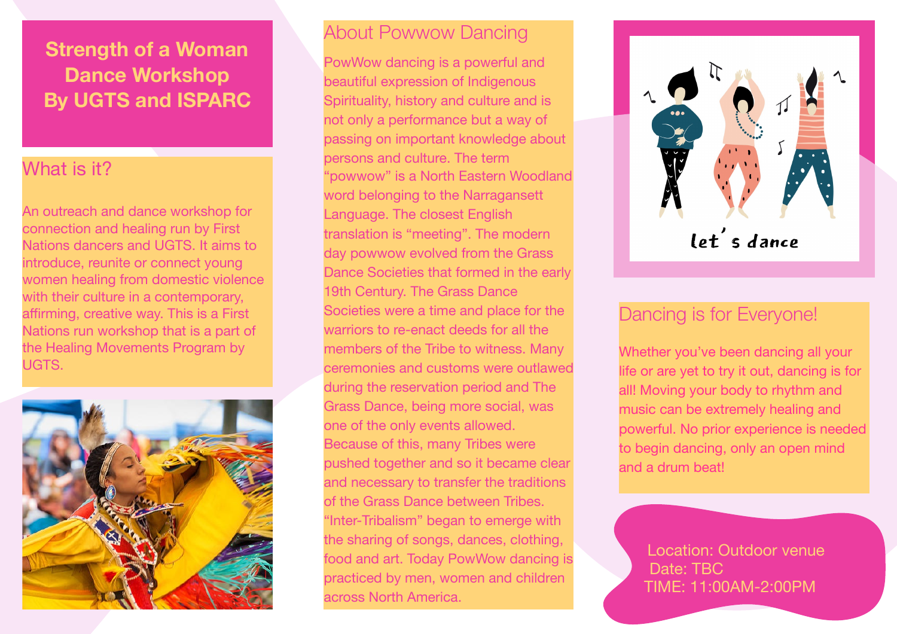## **Strength of a Woman Dance Workshop By UGTS and ISPARC**

## What is it?

An outreach and dance workshop for connection and healing run by First Nations dancers and UGTS. It aims to introduce, reunite or connect young women healing from domestic violence with their culture in a contemporary, affirming, creative way. This is a First Nations run workshop that is a part of the Healing Movements Program by UGTS.



### About Powwow Dancing

PowWow dancing is a powerful and beautiful expression of Indigenous Spirituality, history and culture and is not only a performance but a way of passing on important knowledge about persons and culture. The term "powwow" is a North Eastern Woodland word belonging to the Narragansett Language. The closest English translation is "meeting". The modern day powwow evolved from the Grass Dance Societies that formed in the early 19th Century. The Grass Dance Societies were a time and place for the warriors to re-enact deeds for all the members of the Tribe to witness. Many ceremonies and customs were outlawed during the reservation period and The Grass Dance, being more social, was one of the only events allowed. Because of this, many Tribes were pushed together and so it became clear and necessary to transfer the traditions of the Grass Dance between Tribes. "Inter-Tribalism" began to emerge with the sharing of songs, dances, clothing, food and art. Today PowWow dancing is practiced by men, women and children across North America.



let's dance

## Dancing is for Everyone!

Whether you've been dancing all your life or are yet to try it out, dancing is for all! Moving your body to rhythm and music can be extremely healing and powerful. No prior experience is needed to begin dancing, only an open mind and a drum beat!

 Location: Outdoor venue Date: TBC TIME: 11:00AM-2:00PM